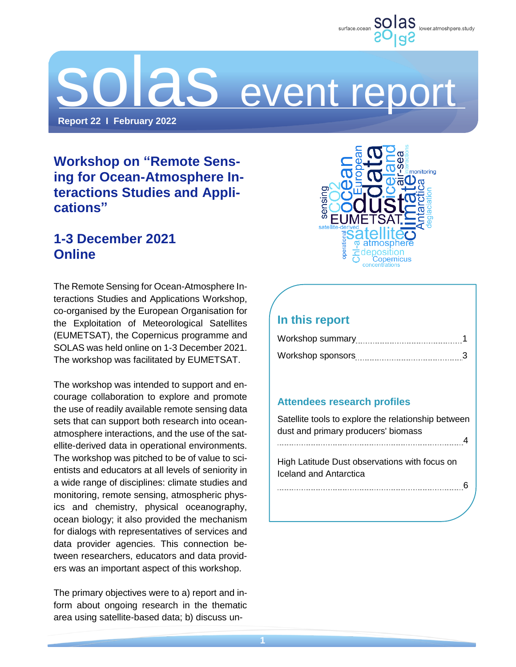

# DI aS event report

**Report 22 I February 2022**

# **Workshop on "Remote Sensing for Ocean-Atmosphere Interactions Studies and Applications"**

## **1-3 December 2021 Online**

The Remote Sensing for Ocean-Atmosphere Interactions Studies and Applications Workshop, co-organised by the European Organisation for the Exploitation of Meteorological Satellites (EUMETSAT), the Copernicus programme and SOLAS was held online on 1-3 December 2021. The workshop was facilitated by EUMETSAT.

The workshop was intended to support and encourage collaboration to explore and promote the use of readily available remote sensing data sets that can support both research into oceanatmosphere interactions, and the use of the satellite-derived data in operational environments. The workshop was pitched to be of value to scientists and educators at all levels of seniority in a wide range of disciplines: climate studies and monitoring, remote sensing, atmospheric physics and chemistry, physical oceanography, ocean biology; it also provided the mechanism for dialogs with representatives of services and data provider agencies. This connection between researchers, educators and data providers was an important aspect of this workshop.

The primary objectives were to a) report and inform about ongoing research in the thematic area using satellite-based data; b) discuss un-



## **In this report**

### **Attendees research profiles**

Satellite tools to explore the relationship between dust and primary producers' biomass 4 High Latitude Dust observations with focus on Iceland and Antarctica 6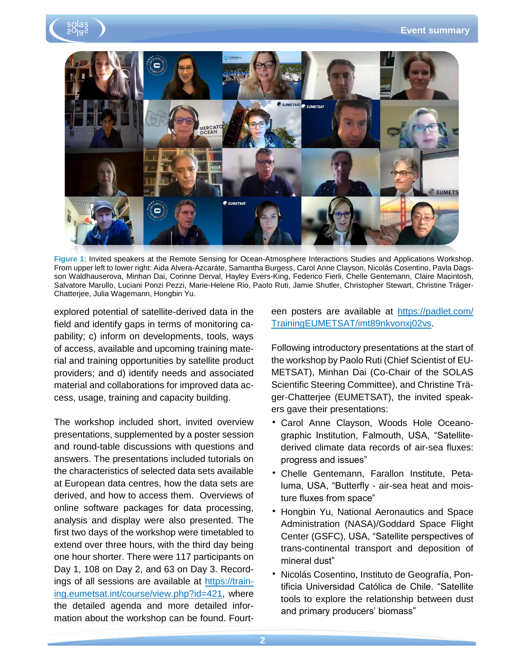



**Figure 1**: Invited speakers at the Remote Sensing for Ocean-Atmosphere Interactions Studies and Applications Workshop. From upper left to lower right: Aida Alvera-Azcaráte, Samantha Burgess, Carol Anne Clayson, Nicolás Cosentino, Pavla Dagsson Waldhauserova, Minhan Dai, Corinne Derval, Hayley Evers-King, Federico Fierli, Chelle Gentemann, Claire Macintosh, Salvatore Marullo, Luciani Ponzi Pezzi, Marie-Helene Rio, Paolo Ruti, Jamie Shutler, Christopher Stewart, Christine Träger-Chatterjee, Julia Wagemann, Hongbin Yu.

explored potential of satellite-derived data in the field and identify gaps in terms of monitoring capability; c) inform on developments, tools, ways of access, available and upcoming training material and training opportunities by satellite product providers; and d) identify needs and associated material and collaborations for improved data access, usage, training and capacity building.

The workshop included short, invited overview presentations, supplemented by a poster session and round-table discussions with questions and answers. The presentations included tutorials on the characteristics of selected data sets available at European data centres, how the data sets are derived, and how to access them. Overviews of online software packages for data processing, analysis and display were also presented. The first two days of the workshop were timetabled to extend over three hours, with the third day being one hour shorter. There were 117 participants on Day 1, 108 on Day 2, and 63 on Day 3. Recordings of all sessions are available at [https://train](https://training.eumetsat.int/course/view.php?id=421)[ing.eumetsat.int/course/view.php?id=421,](https://training.eumetsat.int/course/view.php?id=421) where the detailed agenda and more detailed information about the workshop can be found. Fourteen posters are available at [https://padlet.com/](https://padlet.com/TrainingEUMETSAT/imt89nkvonxj02vs) [TrainingEUMETSAT/imt89nkvonxj02vs.](https://padlet.com/TrainingEUMETSAT/imt89nkvonxj02vs)

Following introductory presentations at the start of the workshop by Paolo Ruti (Chief Scientist of EU-METSAT), Minhan Dai (Co-Chair of the SOLAS Scientific Steering Committee), and Christine Träger-Chatterjee (EUMETSAT), the invited speakers gave their presentations:

- Carol Anne Clayson, Woods Hole Oceanographic Institution, Falmouth, USA, "Satellitederived climate data records of air-sea fluxes: progress and issues"
- Chelle Gentemann, Farallon Institute, Petaluma, USA, "Butterfly - air-sea heat and moisture fluxes from space"
- Hongbin Yu, National Aeronautics and Space Administration (NASA)/Goddard Space Flight Center (GSFC), USA, "Satellite perspectives of trans-continental transport and deposition of mineral dust"
- Nicolás Cosentino, Instituto de Geografía, Pontificia Universidad Católica de Chile. "Satellite tools to explore the relationship between dust and primary producers' biomass"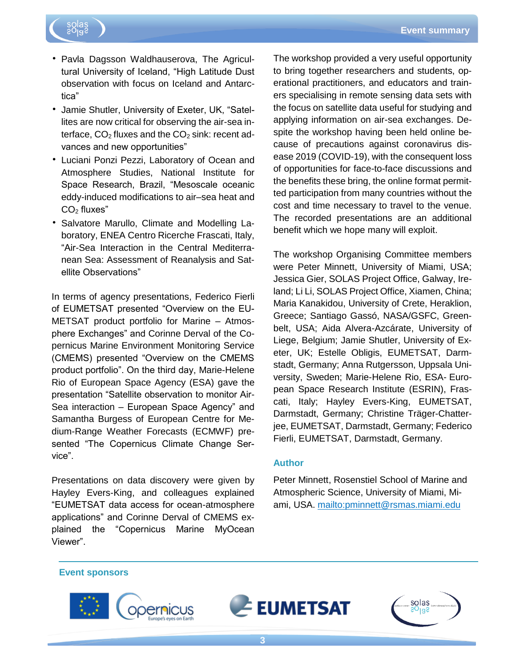

- Pavla Dagsson Waldhauserova, The Agricultural University of Iceland, "High Latitude Dust observation with focus on Iceland and Antarctica"
- Jamie Shutler, University of Exeter, UK, "Satellites are now critical for observing the air-sea interface,  $CO<sub>2</sub>$  fluxes and the  $CO<sub>2</sub>$  sink: recent advances and new opportunities"
- Luciani Ponzi Pezzi, Laboratory of Ocean and Atmosphere Studies, National Institute for Space Research, Brazil, "Mesoscale oceanic eddy-induced modifications to air–sea heat and  $CO<sub>2</sub>$  fluxes"
- Salvatore Marullo, Climate and Modelling Laboratory, ENEA Centro Ricerche Frascati, Italy, "Air-Sea Interaction in the Central Mediterranean Sea: Assessment of Reanalysis and Satellite Observations"

In terms of agency presentations, Federico Fierli of EUMETSAT presented "Overview on the EU-METSAT product portfolio for Marine – Atmosphere Exchanges" and Corinne Derval of the Copernicus Marine Environment Monitoring Service (CMEMS) presented "Overview on the CMEMS product portfolio". On the third day, Marie-Helene Rio of European Space Agency (ESA) gave the presentation "Satellite observation to monitor Air-Sea interaction – European Space Agency" and Samantha Burgess of European Centre for Medium-Range Weather Forecasts (ECMWF) presented "The Copernicus Climate Change Service".

Presentations on data discovery were given by Hayley Evers-King, and colleagues explained "EUMETSAT data access for ocean-atmosphere applications" and Corinne Derval of CMEMS explained the "Copernicus Marine MyOcean Viewer".

The workshop provided a very useful opportunity to bring together researchers and students, operational practitioners, and educators and trainers specialising in remote sensing data sets with the focus on satellite data useful for studying and applying information on air-sea exchanges. Despite the workshop having been held online because of precautions against coronavirus disease 2019 (COVID-19), with the consequent loss of opportunities for face-to-face discussions and the benefits these bring, the online format permitted participation from many countries without the cost and time necessary to travel to the venue. The recorded presentations are an additional benefit which we hope many will exploit.

The workshop Organising Committee members were Peter Minnett, University of Miami, USA; Jessica Gier, SOLAS Project Office, Galway, Ireland; Li Li, SOLAS Project Office, Xiamen, China; Maria Kanakidou, University of Crete, Heraklion, Greece; Santiago Gassó, NASA/GSFC, Greenbelt, USA; Aida Alvera-Azcárate, University of Liege, Belgium; Jamie Shutler, University of Exeter, UK; Estelle Obligis, EUMETSAT, Darmstadt, Germany; Anna Rutgersson, Uppsala University, Sweden; Marie-Helene Rio, ESA- European Space Research Institute (ESRIN), Frascati, Italy; Hayley Evers-King, EUMETSAT, Darmstadt, Germany; Christine Träger-Chatterjee, EUMETSAT, Darmstadt, Germany; Federico Fierli, EUMETSAT, Darmstadt, Germany.

#### **Author**

Peter Minnett, Rosenstiel School of Marine and Atmospheric Science, University of Miami, Miami, USA. <mailto:pminnett@rsmas.miami.edu>

#### **Event sponsors**





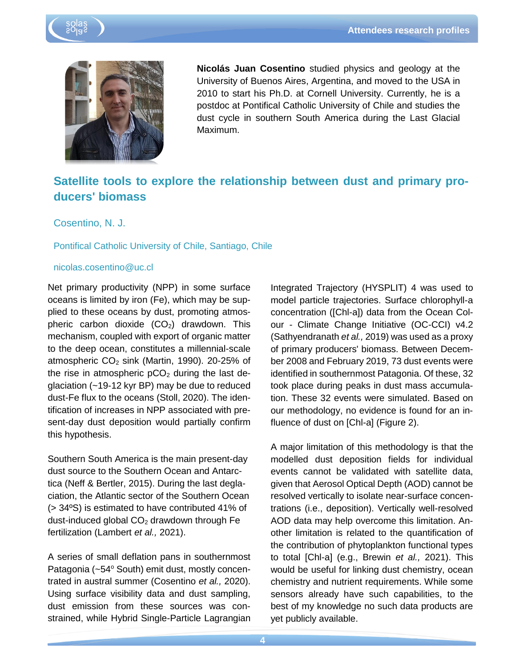



**Nicolás Juan Cosentino** studied physics and geology at the University of Buenos Aires, Argentina, and moved to the USA in 2010 to start his Ph.D. at Cornell University. Currently, he is a postdoc at Pontifical Catholic University of Chile and studies the dust cycle in southern South America during the Last Glacial Maximum.

## **Satellite tools to explore the relationship between dust and primary producers' biomass**

Cosentino, N. J.

#### Pontifical Catholic University of Chile, Santiago, Chile

#### nicolas.cosentino@uc.cl

Net primary productivity (NPP) in some surface oceans is limited by iron (Fe), which may be supplied to these oceans by dust, promoting atmospheric carbon dioxide  $(CO<sub>2</sub>)$  drawdown. This mechanism, coupled with export of organic matter to the deep ocean, constitutes a millennial-scale atmospheric  $CO<sub>2</sub>$  sink (Martin, 1990). 20-25% of the rise in atmospheric  $pCO<sub>2</sub>$  during the last deglaciation (~19-12 kyr BP) may be due to reduced dust-Fe flux to the oceans (Stoll, 2020). The identification of increases in NPP associated with present-day dust deposition would partially confirm this hypothesis.

Southern South America is the main present-day dust source to the Southern Ocean and Antarctica (Neff & Bertler, 2015). During the last deglaciation, the Atlantic sector of the Southern Ocean (> 34ºS) is estimated to have contributed 41% of dust-induced global  $CO<sub>2</sub>$  drawdown through Fe fertilization (Lambert *et al.,* 2021).

A series of small deflation pans in southernmost Patagonia (~54° South) emit dust, mostly concentrated in austral summer (Cosentino *et al.,* 2020). Using surface visibility data and dust sampling, dust emission from these sources was constrained, while Hybrid Single-Particle Lagrangian

Integrated Trajectory (HYSPLIT) 4 was used to model particle trajectories. Surface chlorophyll-a concentration ([Chl-a]) data from the Ocean Colour - Climate Change Initiative (OC-CCI) v4.2 (Sathyendranath *et al.,* 2019) was used as a proxy of primary producers' biomass. Between December 2008 and February 2019, 73 dust events were identified in southernmost Patagonia. Of these, 32 took place during peaks in dust mass accumulation. These 32 events were simulated. Based on our methodology, no evidence is found for an influence of dust on [Chl-a] (Figure 2).

A major limitation of this methodology is that the modelled dust deposition fields for individual events cannot be validated with satellite data, given that Aerosol Optical Depth (AOD) cannot be resolved vertically to isolate near-surface concentrations (i.e., deposition). Vertically well-resolved AOD data may help overcome this limitation. Another limitation is related to the quantification of the contribution of phytoplankton functional types to total [Chl-a] (e.g., Brewin *et al.,* 2021). This would be useful for linking dust chemistry, ocean chemistry and nutrient requirements. While some sensors already have such capabilities, to the best of my knowledge no such data products are yet publicly available.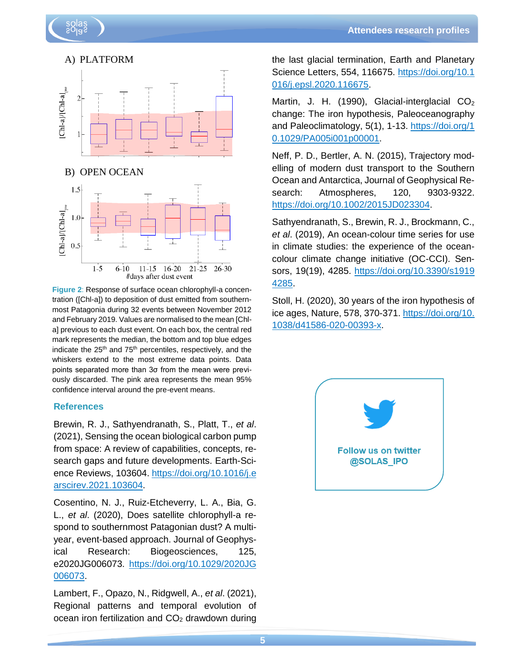

**Figure 2**: Response of surface ocean chlorophyll-a concentration ([Chl-a]) to deposition of dust emitted from southernmost Patagonia during 32 events between November 2012 and February 2019. Values are normalised to the mean [Chla] previous to each dust event. On each box, the central red mark represents the median, the bottom and top blue edges indicate the 25<sup>th</sup> and 75<sup>th</sup> percentiles, respectively, and the whiskers extend to the most extreme data points. Data points separated more than 3σ from the mean were previously discarded. The pink area represents the mean 95% confidence interval around the pre-event means.

#### **References**

Brewin, R. J., Sathyendranath, S., Platt, T., *et al*. (2021), Sensing the ocean biological carbon pump from space: A review of capabilities, concepts, research gaps and future developments. Earth-Science Reviews, 103604. [https://doi.org/10.1016/j.e](https://doi.org/10.1016/j.earscirev.2021.103604) [arscirev.2021.103604.](https://doi.org/10.1016/j.earscirev.2021.103604)

Cosentino, N. J., Ruiz-Etcheverry, L. A., Bia, G. L., *et al*. (2020), Does satellite chlorophyll-a respond to southernmost Patagonian dust? A multiyear, event-based approach. Journal of Geophysical Research: Biogeosciences, 125, e2020JG006073. [https://doi.org/10.1029/2020JG](https://doi.org/10.1029/2020JG006073) [006073.](https://doi.org/10.1029/2020JG006073)

Lambert, F., Opazo, N., Ridgwell, A., *et al*. (2021), Regional patterns and temporal evolution of ocean iron fertilization and  $CO<sub>2</sub>$  drawdown during

the last glacial termination, Earth and Planetary Science Letters, 554, 116675. [https://doi.org/10.1](https://doi.org/10.1016/j.epsl.2020.116675) [016/j.epsl.2020.116675.](https://doi.org/10.1016/j.epsl.2020.116675)

Martin, J. H. (1990), Glacial-interglacial  $CO<sub>2</sub>$ change: The iron hypothesis, Paleoceanography and Paleoclimatology, 5(1), 1-13. [https://doi.org/1](https://doi.org/10.1029/PA005i001p00001) [0.1029/PA005i001p00001.](https://doi.org/10.1029/PA005i001p00001)

Neff, P. D., Bertler, A. N. (2015), Trajectory modelling of modern dust transport to the Southern Ocean and Antarctica, Journal of Geophysical Research: Atmospheres, 120, 9303-9322. [https://doi.org/10.1002/2015JD023304.](https://doi.org/10.1002/2015JD023304)

Sathyendranath, S., Brewin, R. J., Brockmann, C., *et al*. (2019), An ocean-colour time series for use in climate studies: the experience of the oceancolour climate change initiative (OC-CCI). Sensors, 19(19), 4285. [https://doi.org/10.3390/s1919](https://doi.org/10.3390/s19194285) [4285.](https://doi.org/10.3390/s19194285)

Stoll, H. (2020), 30 years of the iron hypothesis of ice ages, Nature, 578, 370-371. [https://doi.org/10.](https://doi.org/10.1038/d41586-020-00393-x) [1038/d41586-020-00393-x.](https://doi.org/10.1038/d41586-020-00393-x)

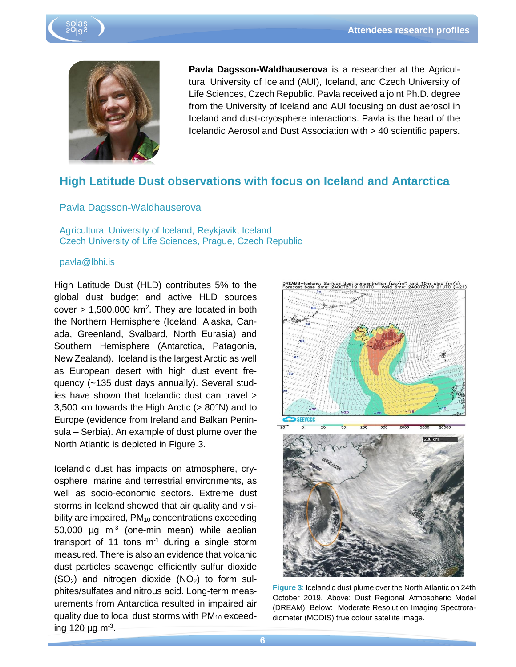



**Pavla Dagsson-Waldhauserova** is a researcher at the Agricultural University of Iceland (AUI), Iceland, and Czech University of Life Sciences, Czech Republic. Pavla received a joint Ph.D. degree from the University of Iceland and AUI focusing on dust aerosol in Iceland and dust-cryosphere interactions. Pavla is the head of the Icelandic Aerosol and Dust Association with > 40 scientific papers.

## **High Latitude Dust observations with focus on Iceland and Antarctica**

#### Pavla Dagsson-Waldhauserova

Agricultural University of Iceland, Reykjavik, Iceland Czech University of Life Sciences, Prague, Czech Republic

#### pavla@lbhi.is

High Latitude Dust (HLD) contributes 5% to the global dust budget and active HLD sources cover  $> 1,500,000$  km<sup>2</sup>. They are located in both the Northern Hemisphere (Iceland, Alaska, Canada, Greenland, Svalbard, North Eurasia) and Southern Hemisphere (Antarctica, Patagonia, New Zealand). Iceland is the largest Arctic as well as European desert with high dust event frequency (~135 dust days annually). Several studies have shown that Icelandic dust can travel > 3,500 km towards the High Arctic (> 80°N) and to Europe (evidence from Ireland and Balkan Peninsula – Serbia). An example of dust plume over the North Atlantic is depicted in Figure 3.

Icelandic dust has impacts on atmosphere, cryosphere, marine and terrestrial environments, as well as socio-economic sectors. Extreme dust storms in Iceland showed that air quality and visibility are impaired,  $PM_{10}$  concentrations exceeding  $50,000$  µg m<sup>-3</sup> (one-min mean) while aeolian transport of 11 tons  $m^{-1}$  during a single storm measured. There is also an evidence that volcanic dust particles scavenge efficiently sulfur dioxide  $(SO<sub>2</sub>)$  and nitrogen dioxide  $(NO<sub>2</sub>)$  to form sulphites/sulfates and nitrous acid. Long-term measurements from Antarctica resulted in impaired air quality due to local dust storms with PM<sub>10</sub> exceeding 120 µg m<sup>-3</sup>.



**Figure 3**: Icelandic dust plume over the North Atlantic on 24th October 2019. Above: Dust Regional Atmospheric Model (DREAM), Below: Moderate Resolution Imaging Spectroradiometer (MODIS) true colour satellite image.